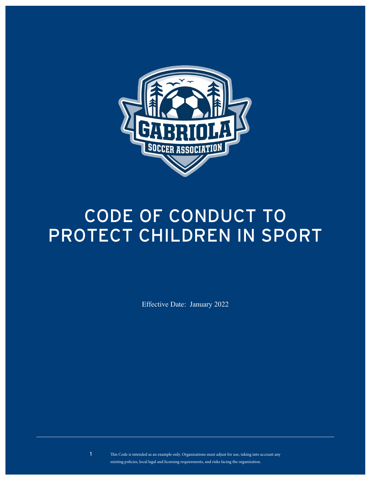

# CODE OF CONDUCT TO Protect Children in Sport

Effective Date: January 2022

This Code is intended as an example only. Organizations must adjust for use, taking into account any existing policies, local legal and licensing requirements, and risks facing the organization.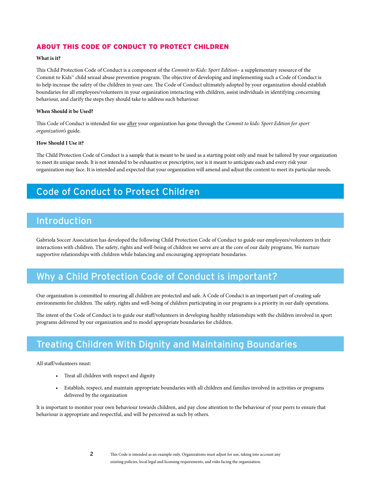#### About this Code of ConduCt to ProteCt Children

#### **What is it?**

This Child Protection Code of Conduct is a component of the *Commit to Kids: Sport Edition*– a supplementary resource of the Commit to Kids™ child sexual abuse prevention program. The objective of developing and implementing such a Code of Conduct is to help increase the safety of the children in your care. The Code of Conduct ultimately adopted by your organization should establish boundaries for all employees/volunteers in your organization interacting with children, assist individuals in identifying concerning behaviour, and clarify the steps they should take to address such behaviour.

#### **When Should it be Used?**

This Code of Conduct is intended for use after your organization has gone through the *Commit to kids: Sport Edition for sport organization's* guide.

#### **How Should I Use it?**

The Child Protection Code of Conduct is a sample that is meant to be used as a starting point only and must be tailored by your organization to meet its unique needs. It is not intended to be exhaustive or prescriptive, nor is it meant to anticipate each and every risk your organization may face. It is intended and expected that your organization will amend and adjust the content to meet its particular needs.

## Code of Conduct to Protect Children

## **Introduction**

Gabriola Soccer Association has developed the following Child Protection Code of Conduct to guide our employees/volunteers in their interactions with children. The safety, rights and well-being of children we serve are at the core of our daily programs. We nurture supportive relationships with children while balancing and encouraging appropriate boundaries.

## Why a Child Protection Code of Conduct is important?

Our organization is committed to ensuring all children are protected and safe. A Code of Conduct is an important part of creating safe environments for children. The safety, rights and well-being of children participating in our programs is a priority in our daily operations.

The intent of the Code of Conduct is to guide our staff/volunteers in developing healthy relationships with the children involved in sport programs delivered by our organization and to model appropriate boundaries for children.

## Treating Children With Dignity and Maintaining Boundaries

All staff/volunteers must:

- Treat all children with respect and dignity
- Establish, respect, and maintain appropriate boundaries with all children and families involved in activities or programs delivered by the organization

It is important to monitor your own behaviour towards children, and pay close attention to the behaviour of your peers to ensure that behaviour is appropriate and respectful, and will be perceived as such by others.

#### 2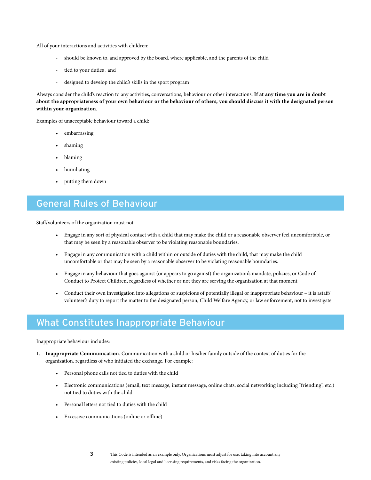All of your interactions and activities with children:

- should be known to, and approved by the board, where applicable, and the parents of the child
- tied to your duties, and
- designed to develop the child's skills in the sport program

Always consider the child's reaction to any activities, conversations, behaviour or other interactions. **If at any time you are in doubt about the appropriateness of your own behaviour or the behaviour of others, you should discuss it with the designated person within your organization**.

Examples of unacceptable behaviour toward a child:

- embarrassing
- shaming
- blaming
- humiliating
- putting them down

## General Rules of Behaviour

Staff/volunteers of the organization must not:

- Engage in any sort of physical contact with a child that may make the child or a reasonable observer feel uncomfortable, or that may be seen by a reasonable observer to be violating reasonable boundaries.
- Engage in any communication with a child within or outside of duties with the child, that may make the child uncomfortable or that may be seen by a reasonable observer to be violating reasonable boundaries.
- Engage in any behaviour that goes against (or appears to go against) the organization's mandate, policies, or Code of Conduct to Protect Children, regardless of whether or not they are serving the organization at that moment
- Conduct their own investigation into allegations or suspicions of potentially illegal or inappropriate behaviour it is astaff/ volunteer's duty to report the matter to the designated person, Child Welfare Agency, or law enforcement, not to investigate.

#### What Constitutes Inappropriate Behaviour

Inappropriate behaviour includes:

- 1. **Inappropriate Communication**. Communication with a child or his/her family outside of the context of duties for the organization, regardless of who initiated the exchange. For example:
	- Personal phone calls not tied to duties with the child
	- Electronic communications (email, text message, instant message, online chats, social networking including "friending", etc.) not tied to duties with the child
	- Personal letters not tied to duties with the child
	- Excessive communications (online or offline)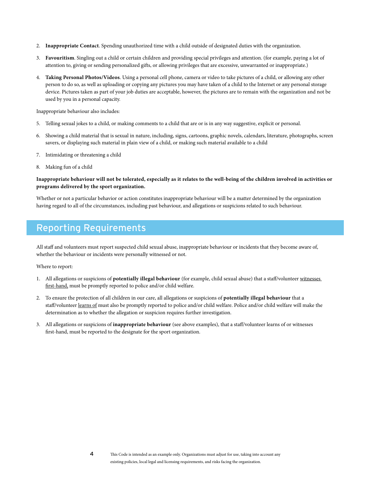- 2. **Inappropriate Contact**. Spending unauthorized time with a child outside of designated duties with the organization.
- 3. **Favouritism**. Singling out a child or certain children and providing special privileges and attention. (for example, paying a lot of attention to, giving or sending personalized gifts, or allowing privileges that are excessive, unwarranted or inappropriate.)
- 4. **Taking Personal Photos/Videos**. Using a personal cell phone, camera or video to take pictures of a child, or allowing any other person to do so, as well as uploading or copying any pictures you may have taken of a child to the Internet or any personal storage device. Pictures taken as part of your job duties are acceptable, however, the pictures are to remain with the organization and not be used by you in a personal capacity.

Inappropriate behaviour also includes:

- 5. Telling sexual jokes to a child, or making comments to a child that are or is in any way suggestive, explicit or personal.
- 6. Showing a child material that is sexual in nature, including, signs, cartoons, graphic novels, calendars, literature, photographs, screen savers, or displaying such material in plain view of a child, or making such material available to a child
- 7. Intimidating or threatening a child
- 8. Making fun of a child

#### **Inappropriate behaviour will not be tolerated, especially as it relates to the well-being of the children involved in activities or programs delivered by the sport organization.**

Whether or not a particular behavior or action constitutes inappropriate behaviour will be a matter determined by the organization having regard to all of the circumstances, including past behaviour, and allegations or suspicions related to such behaviour.

## Reporting Requirements

All staff and volunteers must report suspected child sexual abuse, inappropriate behaviour or incidents that they become aware of, whether the behaviour or incidents were personally witnessed or not.

Where to report:

- 1. All allegations or suspicions of **potentially illegal behaviour** (for example, child sexual abuse) that a staff/volunteer witnesses first-hand, must be promptly reported to police and/or child welfare.
- 2. To ensure the protection of all children in our care, all allegations or suspicions of **potentially illegal behaviour** that a staff/volunteer learns of must also be promptly reported to police and/or child welfare. Police and/or child welfare will make the determination as to whether the allegation or suspicion requires further investigation.
- 3. All allegations or suspicions of **inappropriate behaviour** (see above examples), that a staff/volunteer learns of or witnesses first-hand, must be reported to the designate for the sport organization.

4